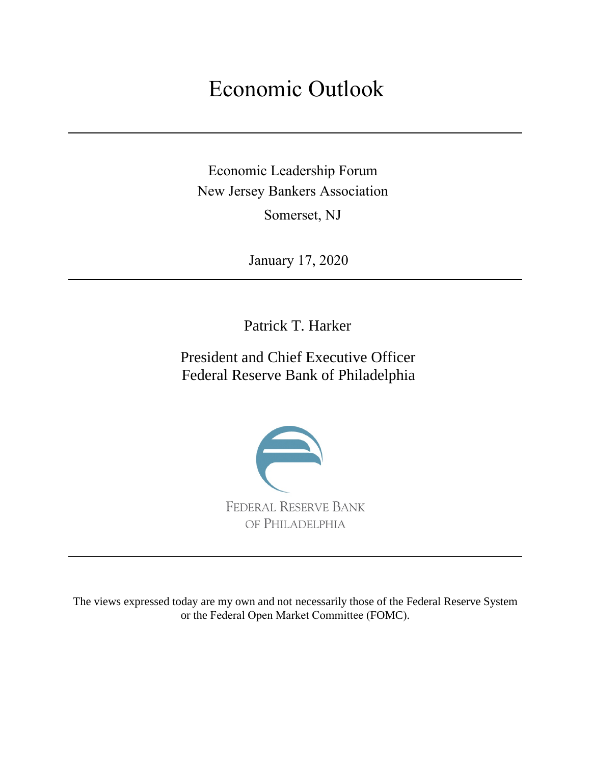# Economic Outlook

Economic Leadership Forum New Jersey Bankers Association

Somerset, NJ

January 17, 2020

Patrick T. Harker

President and Chief Executive Officer Federal Reserve Bank of Philadelphia



The views expressed today are my own and not necessarily those of the Federal Reserve System or the Federal Open Market Committee (FOMC).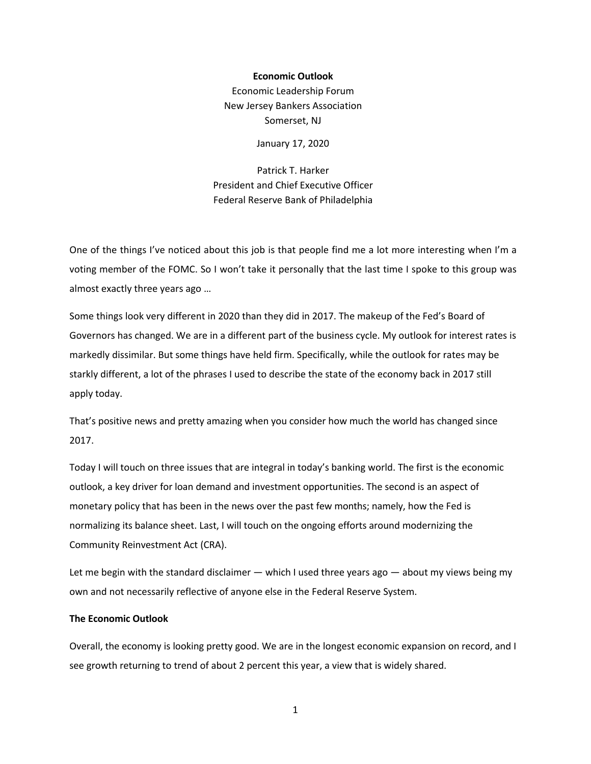#### **Economic Outlook**

Economic Leadership Forum New Jersey Bankers Association Somerset, NJ

January 17, 2020

Patrick T. Harker President and Chief Executive Officer Federal Reserve Bank of Philadelphia

One of the things I've noticed about this job is that people find me a lot more interesting when I'm a voting member of the FOMC. So I won't take it personally that the last time I spoke to this group was almost exactly three years ago …

Some things look very different in 2020 than they did in 2017. The makeup of the Fed's Board of Governors has changed. We are in a different part of the business cycle. My outlook for interest rates is markedly dissimilar. But some things have held firm. Specifically, while the outlook for rates may be starkly different, a lot of the phrases I used to describe the state of the economy back in 2017 still apply today.

That's positive news and pretty amazing when you consider how much the world has changed since 2017.

Today I will touch on three issues that are integral in today's banking world. The first is the economic outlook, a key driver for loan demand and investment opportunities. The second is an aspect of monetary policy that has been in the news over the past few months; namely, how the Fed is normalizing its balance sheet. Last, I will touch on the ongoing efforts around modernizing the Community Reinvestment Act (CRA).

Let me begin with the standard disclaimer — which I used three years ago — about my views being my own and not necessarily reflective of anyone else in the Federal Reserve System.

## **The Economic Outlook**

Overall, the economy is looking pretty good. We are in the longest economic expansion on record, and I see growth returning to trend of about 2 percent this year, a view that is widely shared.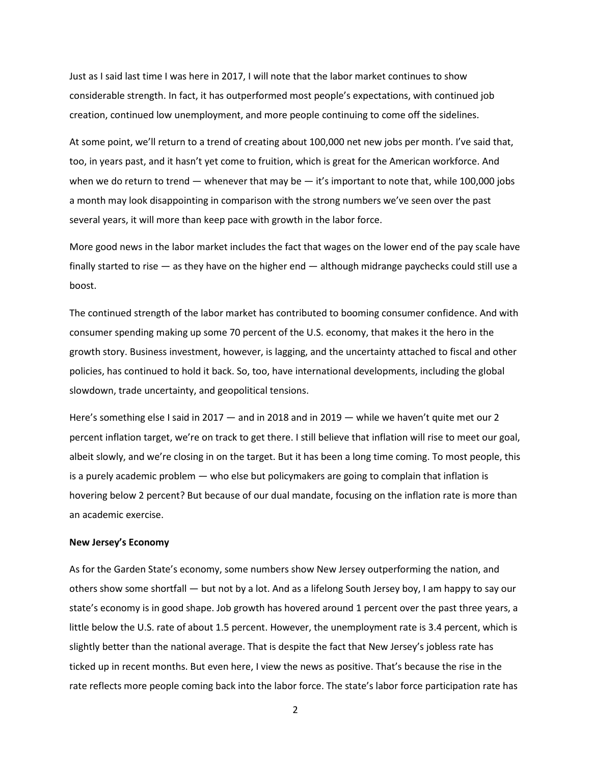Just as I said last time I was here in 2017, I will note that the labor market continues to show considerable strength. In fact, it has outperformed most people's expectations, with continued job creation, continued low unemployment, and more people continuing to come off the sidelines.

At some point, we'll return to a trend of creating about 100,000 net new jobs per month. I've said that, too, in years past, and it hasn't yet come to fruition, which is great for the American workforce. And when we do return to trend — whenever that may be — it's important to note that, while 100,000 jobs a month may look disappointing in comparison with the strong numbers we've seen over the past several years, it will more than keep pace with growth in the labor force.

More good news in the labor market includes the fact that wages on the lower end of the pay scale have finally started to rise  $-$  as they have on the higher end  $-$  although midrange paychecks could still use a boost.

The continued strength of the labor market has contributed to booming consumer confidence. And with consumer spending making up some 70 percent of the U.S. economy, that makes it the hero in the growth story. Business investment, however, is lagging, and the uncertainty attached to fiscal and other policies, has continued to hold it back. So, too, have international developments, including the global slowdown, trade uncertainty, and geopolitical tensions.

Here's something else I said in 2017 — and in 2018 and in 2019 — while we haven't quite met our 2 percent inflation target, we're on track to get there. I still believe that inflation will rise to meet our goal, albeit slowly, and we're closing in on the target. But it has been a long time coming. To most people, this is a purely academic problem — who else but policymakers are going to complain that inflation is hovering below 2 percent? But because of our dual mandate, focusing on the inflation rate is more than an academic exercise.

### **New Jersey's Economy**

As for the Garden State's economy, some numbers show New Jersey outperforming the nation, and others show some shortfall — but not by a lot. And as a lifelong South Jersey boy, I am happy to say our state's economy is in good shape. Job growth has hovered around 1 percent over the past three years, a little below the U.S. rate of about 1.5 percent. However, the unemployment rate is 3.4 percent, which is slightly better than the national average. That is despite the fact that New Jersey's jobless rate has ticked up in recent months. But even here, I view the news as positive. That's because the rise in the rate reflects more people coming back into the labor force. The state's labor force participation rate has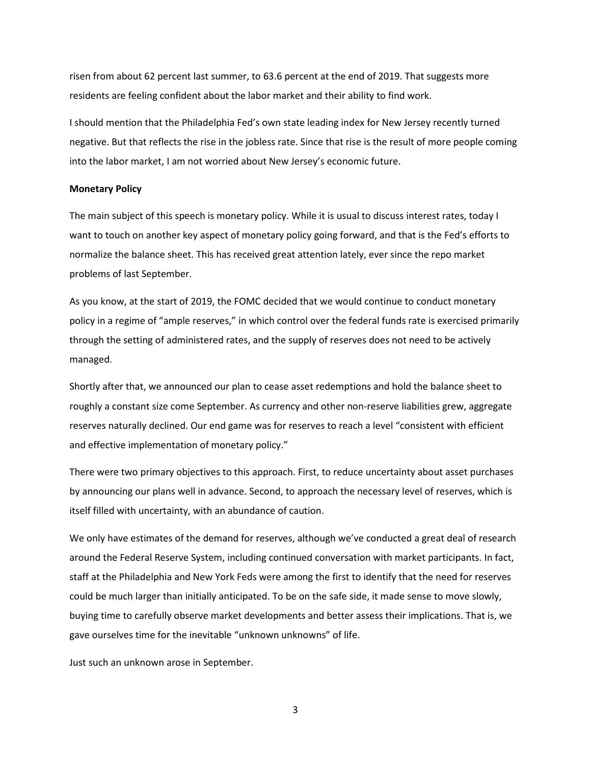risen from about 62 percent last summer, to 63.6 percent at the end of 2019. That suggests more residents are feeling confident about the labor market and their ability to find work.

I should mention that the Philadelphia Fed's own state leading index for New Jersey recently turned negative. But that reflects the rise in the jobless rate. Since that rise is the result of more people coming into the labor market, I am not worried about New Jersey's economic future.

#### **Monetary Policy**

The main subject of this speech is monetary policy. While it is usual to discuss interest rates, today I want to touch on another key aspect of monetary policy going forward, and that is the Fed's efforts to normalize the balance sheet. This has received great attention lately, ever since the repo market problems of last September.

As you know, at the start of 2019, the FOMC decided that we would continue to conduct monetary policy in a regime of "ample reserves," in which control over the federal funds rate is exercised primarily through the setting of administered rates, and the supply of reserves does not need to be actively managed.

Shortly after that, we announced our plan to cease asset redemptions and hold the balance sheet to roughly a constant size come September. As currency and other non-reserve liabilities grew, aggregate reserves naturally declined. Our end game was for reserves to reach a level "consistent with efficient and effective implementation of monetary policy."

There were two primary objectives to this approach. First, to reduce uncertainty about asset purchases by announcing our plans well in advance. Second, to approach the necessary level of reserves, which is itself filled with uncertainty, with an abundance of caution.

We only have estimates of the demand for reserves, although we've conducted a great deal of research around the Federal Reserve System, including continued conversation with market participants. In fact, staff at the Philadelphia and New York Feds were among the first to identify that the need for reserves could be much larger than initially anticipated. To be on the safe side, it made sense to move slowly, buying time to carefully observe market developments and better assess their implications. That is, we gave ourselves time for the inevitable "unknown unknowns" of life.

Just such an unknown arose in September.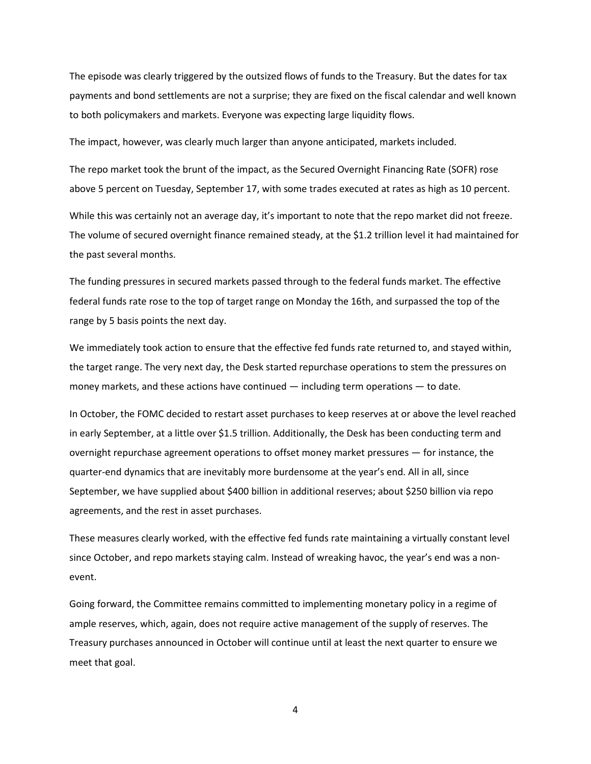The episode was clearly triggered by the outsized flows of funds to the Treasury. But the dates for tax payments and bond settlements are not a surprise; they are fixed on the fiscal calendar and well known to both policymakers and markets. Everyone was expecting large liquidity flows.

The impact, however, was clearly much larger than anyone anticipated, markets included.

The repo market took the brunt of the impact, as the Secured Overnight Financing Rate (SOFR) rose above 5 percent on Tuesday, September 17, with some trades executed at rates as high as 10 percent.

While this was certainly not an average day, it's important to note that the repo market did not freeze. The volume of secured overnight finance remained steady, at the \$1.2 trillion level it had maintained for the past several months.

The funding pressures in secured markets passed through to the federal funds market. The effective federal funds rate rose to the top of target range on Monday the 16th, and surpassed the top of the range by 5 basis points the next day.

We immediately took action to ensure that the effective fed funds rate returned to, and stayed within, the target range. The very next day, the Desk started repurchase operations to stem the pressures on money markets, and these actions have continued — including term operations — to date.

In October, the FOMC decided to restart asset purchases to keep reserves at or above the level reached in early September, at a little over \$1.5 trillion. Additionally, the Desk has been conducting term and overnight repurchase agreement operations to offset money market pressures — for instance, the quarter-end dynamics that are inevitably more burdensome at the year's end. All in all, since September, we have supplied about \$400 billion in additional reserves; about \$250 billion via repo agreements, and the rest in asset purchases.

These measures clearly worked, with the effective fed funds rate maintaining a virtually constant level since October, and repo markets staying calm. Instead of wreaking havoc, the year's end was a nonevent.

Going forward, the Committee remains committed to implementing monetary policy in a regime of ample reserves, which, again, does not require active management of the supply of reserves. The Treasury purchases announced in October will continue until at least the next quarter to ensure we meet that goal.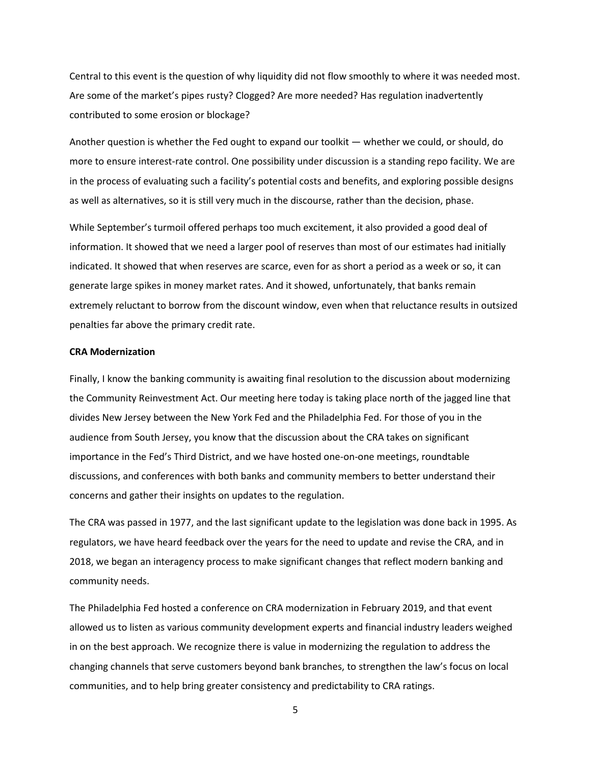Central to this event is the question of why liquidity did not flow smoothly to where it was needed most. Are some of the market's pipes rusty? Clogged? Are more needed? Has regulation inadvertently contributed to some erosion or blockage?

Another question is whether the Fed ought to expand our toolkit — whether we could, or should, do more to ensure interest-rate control. One possibility under discussion is a standing repo facility. We are in the process of evaluating such a facility's potential costs and benefits, and exploring possible designs as well as alternatives, so it is still very much in the discourse, rather than the decision, phase.

While September's turmoil offered perhaps too much excitement, it also provided a good deal of information. It showed that we need a larger pool of reserves than most of our estimates had initially indicated. It showed that when reserves are scarce, even for as short a period as a week or so, it can generate large spikes in money market rates. And it showed, unfortunately, that banks remain extremely reluctant to borrow from the discount window, even when that reluctance results in outsized penalties far above the primary credit rate.

## **CRA Modernization**

Finally, I know the banking community is awaiting final resolution to the discussion about modernizing the Community Reinvestment Act. Our meeting here today is taking place north of the jagged line that divides New Jersey between the New York Fed and the Philadelphia Fed. For those of you in the audience from South Jersey, you know that the discussion about the CRA takes on significant importance in the Fed's Third District, and we have hosted one-on-one meetings, roundtable discussions, and conferences with both banks and community members to better understand their concerns and gather their insights on updates to the regulation.

The CRA was passed in 1977, and the last significant update to the legislation was done back in 1995. As regulators, we have heard feedback over the years for the need to update and revise the CRA, and in 2018, we began an interagency process to make significant changes that reflect modern banking and community needs.

The Philadelphia Fed hosted a conference on CRA modernization in February 2019, and that event allowed us to listen as various community development experts and financial industry leaders weighed in on the best approach. We recognize there is value in modernizing the regulation to address the changing channels that serve customers beyond bank branches, to strengthen the law's focus on local communities, and to help bring greater consistency and predictability to CRA ratings.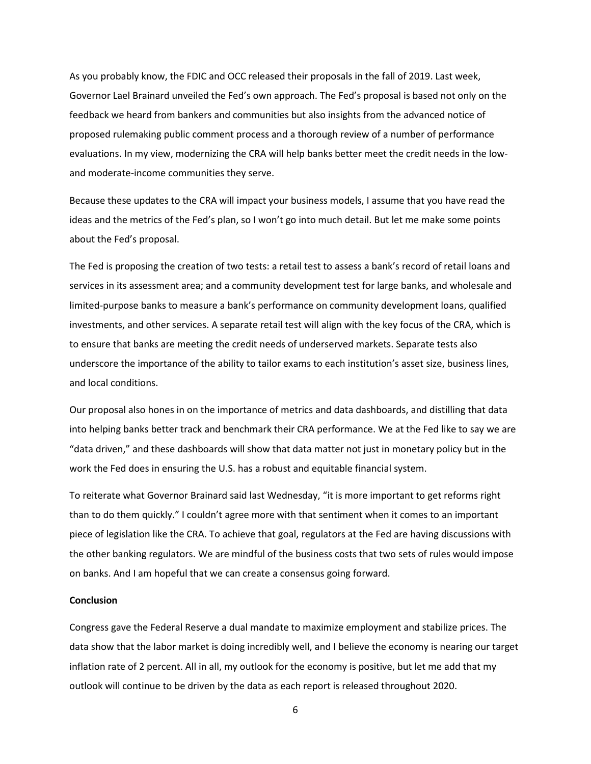As you probably know, the FDIC and OCC released their proposals in the fall of 2019. Last week, Governor Lael Brainard unveiled the Fed's own approach. The Fed's proposal is based not only on the feedback we heard from bankers and communities but also insights from the advanced notice of proposed rulemaking public comment process and a thorough review of a number of performance evaluations. In my view, modernizing the CRA will help banks better meet the credit needs in the lowand moderate-income communities they serve.

Because these updates to the CRA will impact your business models, I assume that you have read the ideas and the metrics of the Fed's plan, so I won't go into much detail. But let me make some points about the Fed's proposal.

The Fed is proposing the creation of two tests: a retail test to assess a bank's record of retail loans and services in its assessment area; and a community development test for large banks, and wholesale and limited-purpose banks to measure a bank's performance on community development loans, qualified investments, and other services. A separate retail test will align with the key focus of the CRA, which is to ensure that banks are meeting the credit needs of underserved markets. Separate tests also underscore the importance of the ability to tailor exams to each institution's asset size, business lines, and local conditions.

Our proposal also hones in on the importance of metrics and data dashboards, and distilling that data into helping banks better track and benchmark their CRA performance. We at the Fed like to say we are "data driven," and these dashboards will show that data matter not just in monetary policy but in the work the Fed does in ensuring the U.S. has a robust and equitable financial system.

To reiterate what Governor Brainard said last Wednesday, "it is more important to get reforms right than to do them quickly." I couldn't agree more with that sentiment when it comes to an important piece of legislation like the CRA. To achieve that goal, regulators at the Fed are having discussions with the other banking regulators. We are mindful of the business costs that two sets of rules would impose on banks. And I am hopeful that we can create a consensus going forward.

### **Conclusion**

Congress gave the Federal Reserve a dual mandate to maximize employment and stabilize prices. The data show that the labor market is doing incredibly well, and I believe the economy is nearing our target inflation rate of 2 percent. All in all, my outlook for the economy is positive, but let me add that my outlook will continue to be driven by the data as each report is released throughout 2020.